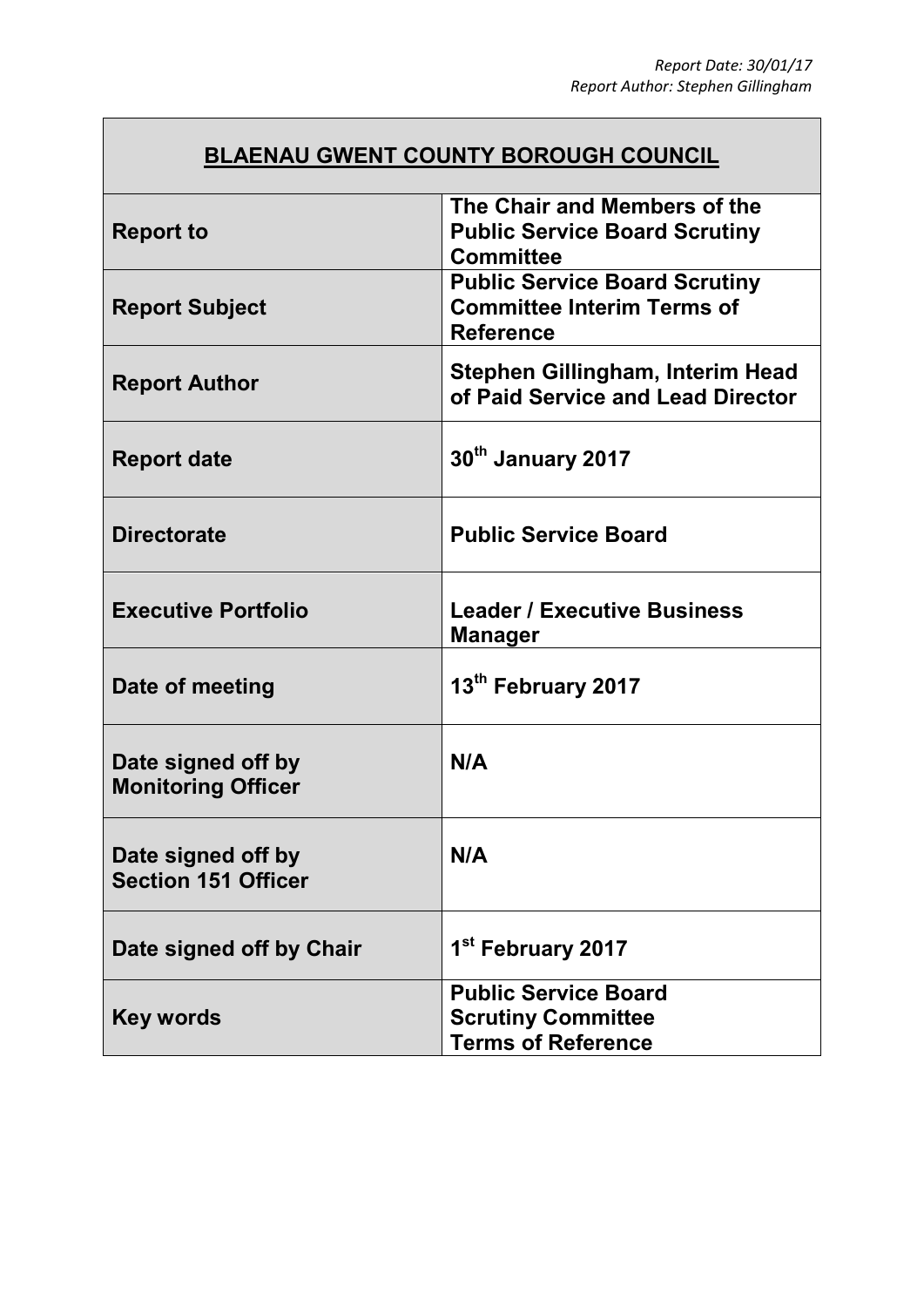## **BLAENAU GWENT COUNTY BOROUGH COUNCIL**

| <b>Report to</b>                                 | The Chair and Members of the<br><b>Public Service Board Scrutiny</b><br><b>Committee</b>      |
|--------------------------------------------------|-----------------------------------------------------------------------------------------------|
| <b>Report Subject</b>                            | <b>Public Service Board Scrutiny</b><br><b>Committee Interim Terms of</b><br><b>Reference</b> |
| <b>Report Author</b>                             | Stephen Gillingham, Interim Head<br>of Paid Service and Lead Director                         |
| <b>Report date</b>                               | 30th January 2017                                                                             |
| <b>Directorate</b>                               | <b>Public Service Board</b>                                                                   |
| <b>Executive Portfolio</b>                       | <b>Leader / Executive Business</b><br><b>Manager</b>                                          |
| Date of meeting                                  | 13th February 2017                                                                            |
| Date signed off by<br><b>Monitoring Officer</b>  | N/A                                                                                           |
| Date signed off by<br><b>Section 151 Officer</b> | N/A                                                                                           |
| Date signed off by Chair                         | 1 <sup>st</sup> February 2017                                                                 |
| <b>Key words</b>                                 | <b>Public Service Board</b><br><b>Scrutiny Committee</b><br><b>Terms of Reference</b>         |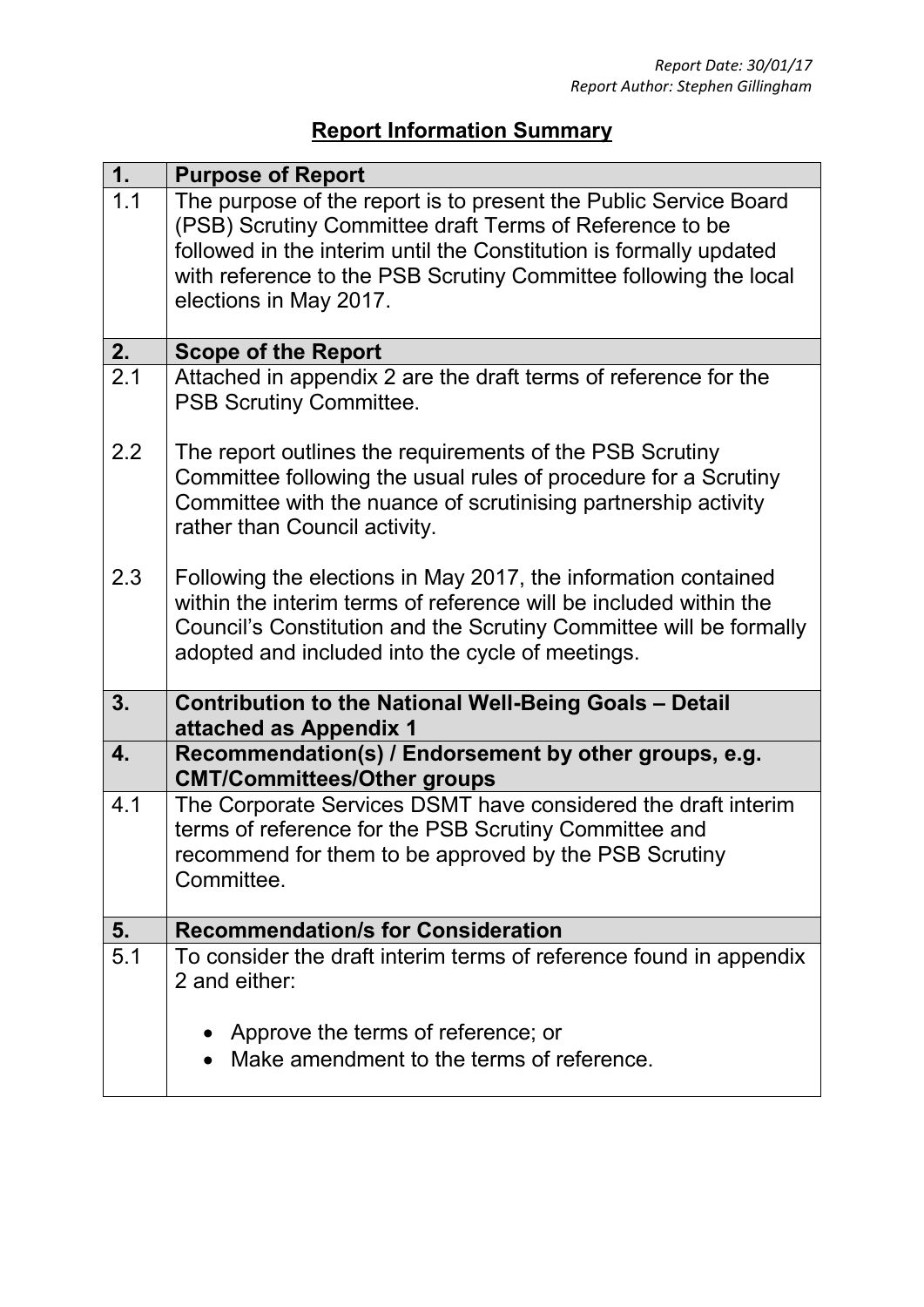## **Report Information Summary**

| 1.  | <b>Purpose of Report</b>                                                                          |
|-----|---------------------------------------------------------------------------------------------------|
| 1.1 | The purpose of the report is to present the Public Service Board                                  |
|     | (PSB) Scrutiny Committee draft Terms of Reference to be                                           |
|     | followed in the interim until the Constitution is formally updated                                |
|     | with reference to the PSB Scrutiny Committee following the local<br>elections in May 2017.        |
|     |                                                                                                   |
| 2.  | <b>Scope of the Report</b>                                                                        |
| 2.1 | Attached in appendix 2 are the draft terms of reference for the<br><b>PSB Scrutiny Committee.</b> |
| 2.2 | The report outlines the requirements of the PSB Scrutiny                                          |
|     | Committee following the usual rules of procedure for a Scrutiny                                   |
|     | Committee with the nuance of scrutinising partnership activity                                    |
|     | rather than Council activity.                                                                     |
| 2.3 | Following the elections in May 2017, the information contained                                    |
|     | within the interim terms of reference will be included within the                                 |
|     | Council's Constitution and the Scrutiny Committee will be formally                                |
|     | adopted and included into the cycle of meetings.                                                  |
| 3.  |                                                                                                   |
|     | Contribution to the National Well-Being Goals - Detail<br>attached as Appendix 1                  |
| 4.  | Recommendation(s) / Endorsement by other groups, e.g.<br><b>CMT/Committees/Other groups</b>       |
| 4.1 | The Corporate Services DSMT have considered the draft interim                                     |
|     | terms of reference for the PSB Scrutiny Committee and                                             |
|     | recommend for them to be approved by the PSB Scrutiny<br>Committee.                               |
|     |                                                                                                   |
| 5.  | <b>Recommendation/s for Consideration</b>                                                         |
| 5.1 | To consider the draft interim terms of reference found in appendix                                |
|     | 2 and either:                                                                                     |
|     | Approve the terms of reference; or                                                                |
|     | Make amendment to the terms of reference.                                                         |
|     |                                                                                                   |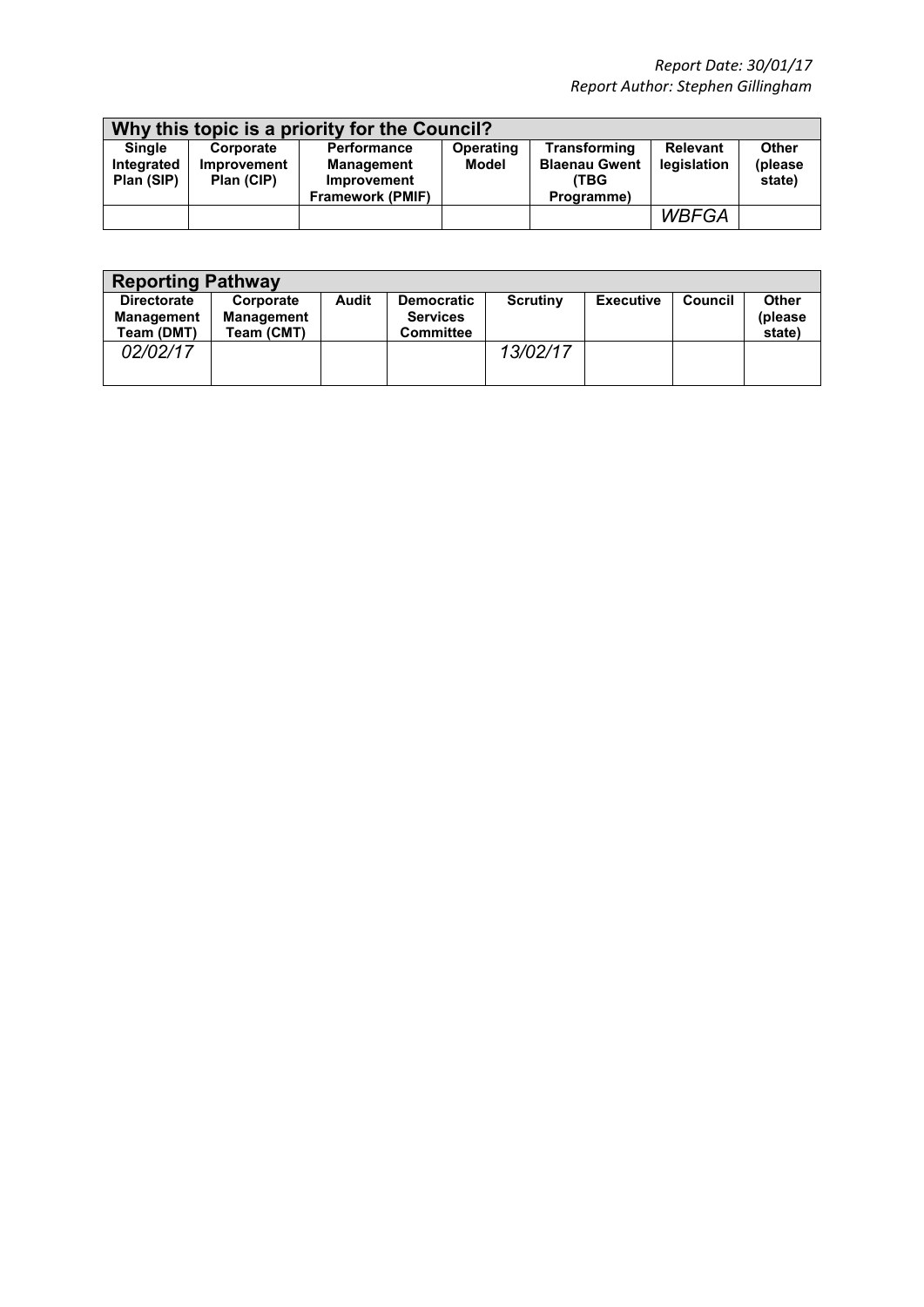| Why this topic is a priority for the Council? |                    |                         |                  |                      |                 |              |
|-----------------------------------------------|--------------------|-------------------------|------------------|----------------------|-----------------|--------------|
| <b>Single</b>                                 | Corporate          | <b>Performance</b>      | <b>Operating</b> | <b>Transforming</b>  | <b>Relevant</b> | <b>Other</b> |
| Integrated                                    | <b>Improvement</b> | <b>Management</b>       | Model            | <b>Blaenau Gwent</b> | legislation     | (please)     |
| Plan (SIP)                                    | Plan (CIP)         | <b>Improvement</b>      |                  | <b>(TBG</b>          |                 | state)       |
|                                               |                    | <b>Framework (PMIF)</b> |                  | Programme)           |                 |              |
|                                               |                    |                         |                  |                      | <b>WBFGA</b>    |              |

| <b>Reporting Pathway</b>                              |                                              |       |                                                          |                 |                  |                |                                   |
|-------------------------------------------------------|----------------------------------------------|-------|----------------------------------------------------------|-----------------|------------------|----------------|-----------------------------------|
| <b>Directorate</b><br><b>Management</b><br>Team (DMT) | Corporate<br><b>Management</b><br>Team (CMT) | Audit | <b>Democratic</b><br><b>Services</b><br><b>Committee</b> | <b>Scrutiny</b> | <b>Executive</b> | <b>Council</b> | <b>Other</b><br>(please<br>state) |
| 02/02/17                                              |                                              |       |                                                          | 13/02/17        |                  |                |                                   |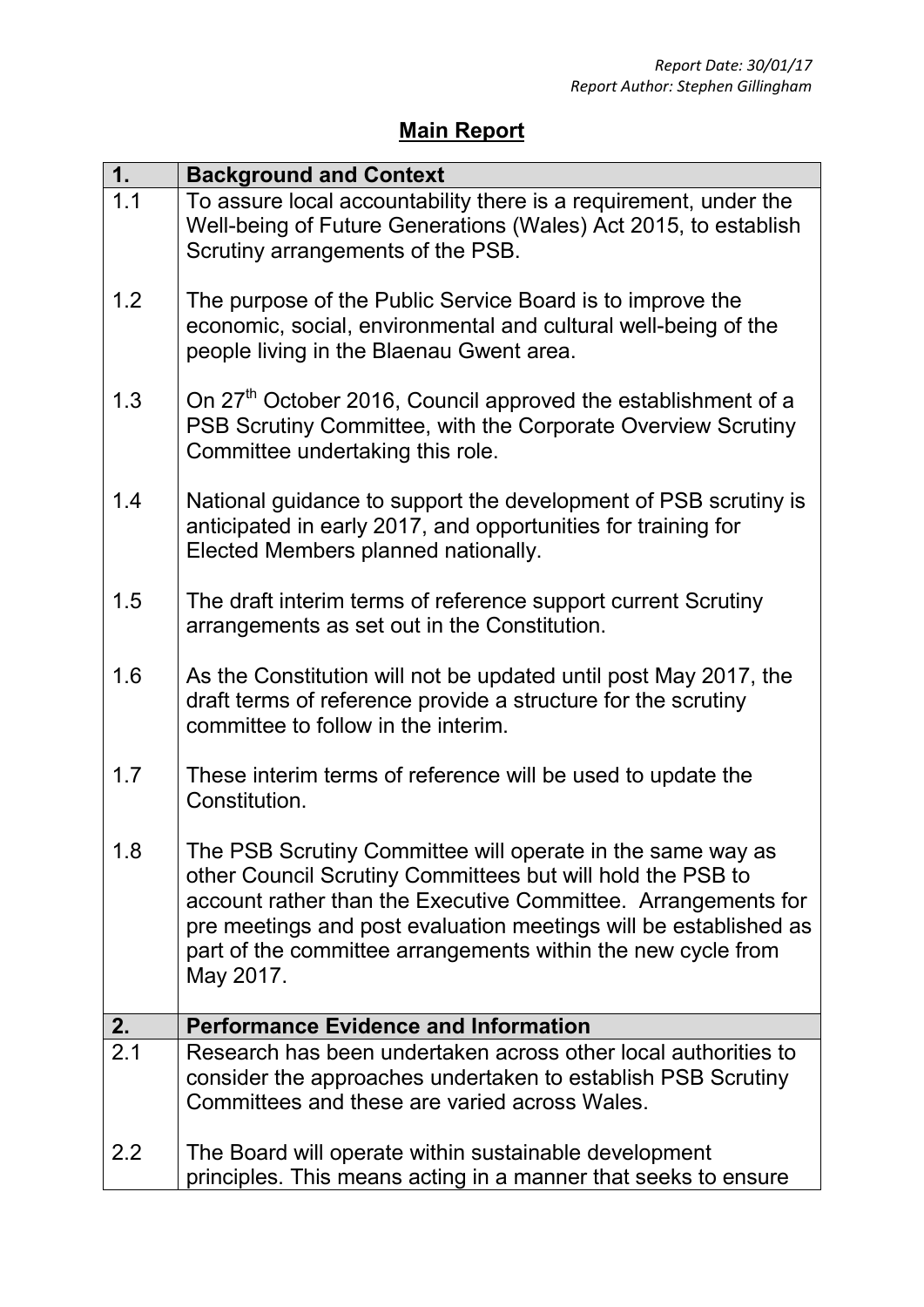## **Main Report**

| 1.               | <b>Background and Context</b>                                                                                                                                                                                                                                                                                                              |
|------------------|--------------------------------------------------------------------------------------------------------------------------------------------------------------------------------------------------------------------------------------------------------------------------------------------------------------------------------------------|
| 1.1              | To assure local accountability there is a requirement, under the<br>Well-being of Future Generations (Wales) Act 2015, to establish<br>Scrutiny arrangements of the PSB.                                                                                                                                                                   |
| 1.2              | The purpose of the Public Service Board is to improve the<br>economic, social, environmental and cultural well-being of the<br>people living in the Blaenau Gwent area.                                                                                                                                                                    |
| 1.3              | On 27 <sup>th</sup> October 2016, Council approved the establishment of a<br>PSB Scrutiny Committee, with the Corporate Overview Scrutiny<br>Committee undertaking this role.                                                                                                                                                              |
| 1.4              | National guidance to support the development of PSB scrutiny is<br>anticipated in early 2017, and opportunities for training for<br>Elected Members planned nationally.                                                                                                                                                                    |
| 1.5              | The draft interim terms of reference support current Scrutiny<br>arrangements as set out in the Constitution.                                                                                                                                                                                                                              |
| 1.6              | As the Constitution will not be updated until post May 2017, the<br>draft terms of reference provide a structure for the scrutiny<br>committee to follow in the interim.                                                                                                                                                                   |
| 1.7              | These interim terms of reference will be used to update the<br>Constitution.                                                                                                                                                                                                                                                               |
| 1.8              | The PSB Scrutiny Committee will operate in the same way as<br>other Council Scrutiny Committees but will hold the PSB to<br>account rather than the Executive Committee. Arrangements for<br>pre meetings and post evaluation meetings will be established as<br>part of the committee arrangements within the new cycle from<br>May 2017. |
| 2.               | <b>Performance Evidence and Information</b>                                                                                                                                                                                                                                                                                                |
| $\overline{2.1}$ | Research has been undertaken across other local authorities to<br>consider the approaches undertaken to establish PSB Scrutiny<br>Committees and these are varied across Wales.                                                                                                                                                            |
| $2.2\phantom{0}$ | The Board will operate within sustainable development<br>principles. This means acting in a manner that seeks to ensure                                                                                                                                                                                                                    |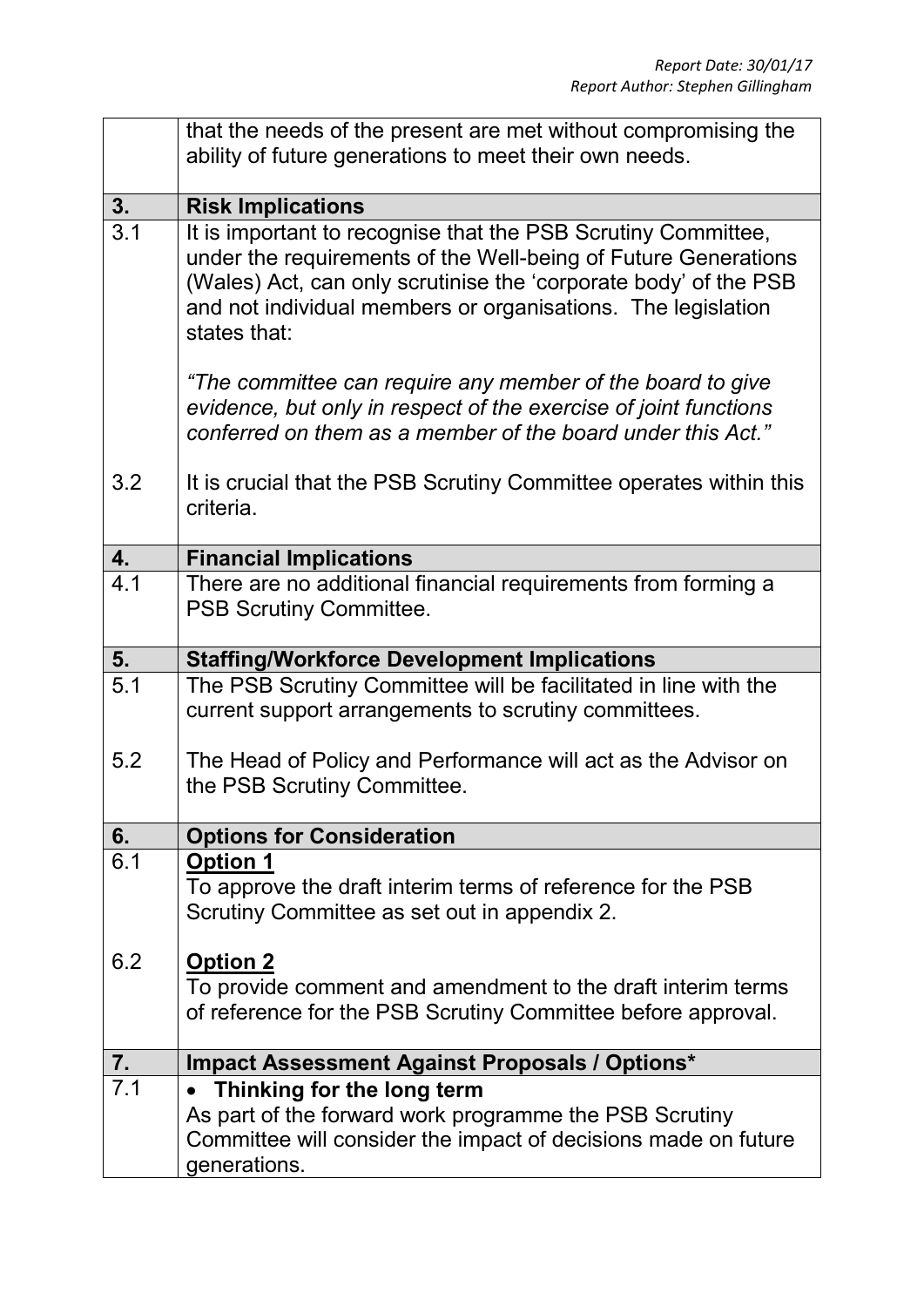|                  | that the needs of the present are met without compromising the<br>ability of future generations to meet their own needs.                                                                                                                                                            |
|------------------|-------------------------------------------------------------------------------------------------------------------------------------------------------------------------------------------------------------------------------------------------------------------------------------|
| 3.               | <b>Risk Implications</b>                                                                                                                                                                                                                                                            |
| $\overline{3.1}$ | It is important to recognise that the PSB Scrutiny Committee,<br>under the requirements of the Well-being of Future Generations<br>(Wales) Act, can only scrutinise the 'corporate body' of the PSB<br>and not individual members or organisations. The legislation<br>states that: |
|                  | "The committee can require any member of the board to give<br>evidence, but only in respect of the exercise of joint functions<br>conferred on them as a member of the board under this Act."                                                                                       |
| 3.2              | It is crucial that the PSB Scrutiny Committee operates within this<br>criteria.                                                                                                                                                                                                     |
| 4.               | <b>Financial Implications</b>                                                                                                                                                                                                                                                       |
| 4.1              | There are no additional financial requirements from forming a<br><b>PSB Scrutiny Committee.</b>                                                                                                                                                                                     |
| 5.               | <b>Staffing/Workforce Development Implications</b>                                                                                                                                                                                                                                  |
| 5.1              | The PSB Scrutiny Committee will be facilitated in line with the<br>current support arrangements to scrutiny committees.                                                                                                                                                             |
| 5.2              | The Head of Policy and Performance will act as the Advisor on<br>the PSB Scrutiny Committee.                                                                                                                                                                                        |
| 6.               | <b>Options for Consideration</b>                                                                                                                                                                                                                                                    |
| 6.1              | <b>Option 1</b><br>To approve the draft interim terms of reference for the PSB<br>Scrutiny Committee as set out in appendix 2.                                                                                                                                                      |
| 6.2              | <b>Option 2</b><br>To provide comment and amendment to the draft interim terms<br>of reference for the PSB Scrutiny Committee before approval.                                                                                                                                      |
| 7.               | Impact Assessment Against Proposals / Options*                                                                                                                                                                                                                                      |
| 7.1              | Thinking for the long term<br>As part of the forward work programme the PSB Scrutiny<br>Committee will consider the impact of decisions made on future                                                                                                                              |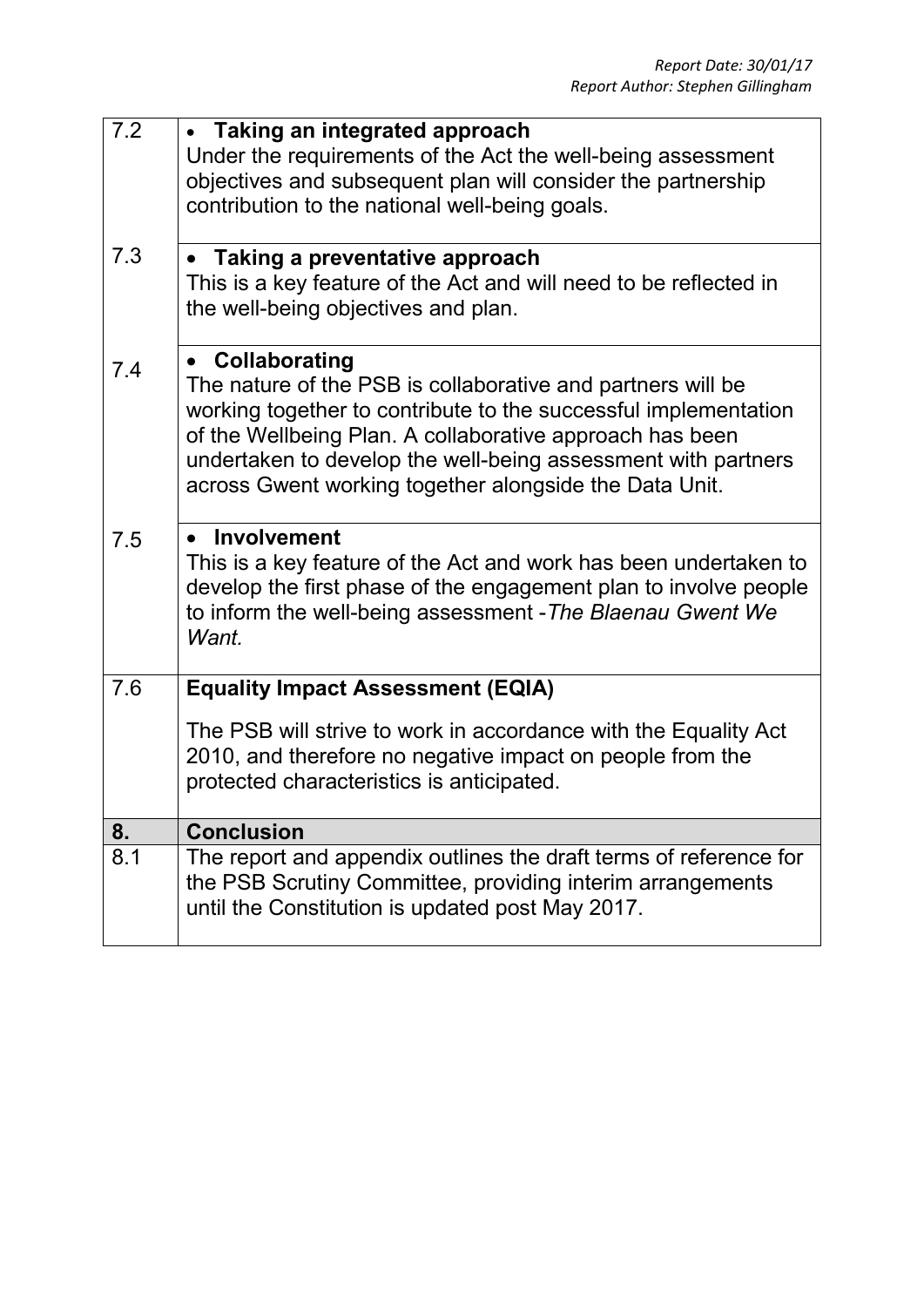| 7.2 | • Taking an integrated approach<br>Under the requirements of the Act the well-being assessment<br>objectives and subsequent plan will consider the partnership<br>contribution to the national well-being goals.                                                                                                                         |
|-----|------------------------------------------------------------------------------------------------------------------------------------------------------------------------------------------------------------------------------------------------------------------------------------------------------------------------------------------|
| 7.3 | • Taking a preventative approach<br>This is a key feature of the Act and will need to be reflected in<br>the well-being objectives and plan.                                                                                                                                                                                             |
| 7.4 | • Collaborating<br>The nature of the PSB is collaborative and partners will be<br>working together to contribute to the successful implementation<br>of the Wellbeing Plan. A collaborative approach has been<br>undertaken to develop the well-being assessment with partners<br>across Gwent working together alongside the Data Unit. |
| 7.5 | Involvement<br>This is a key feature of the Act and work has been undertaken to<br>develop the first phase of the engagement plan to involve people<br>to inform the well-being assessment - The Blaenau Gwent We<br>Want.                                                                                                               |
| 7.6 | <b>Equality Impact Assessment (EQIA)</b><br>The PSB will strive to work in accordance with the Equality Act<br>2010, and therefore no negative impact on people from the<br>protected characteristics is anticipated.                                                                                                                    |
| 8.  | <b>Conclusion</b>                                                                                                                                                                                                                                                                                                                        |
| 8.1 | The report and appendix outlines the draft terms of reference for<br>the PSB Scrutiny Committee, providing interim arrangements<br>until the Constitution is updated post May 2017.                                                                                                                                                      |
|     |                                                                                                                                                                                                                                                                                                                                          |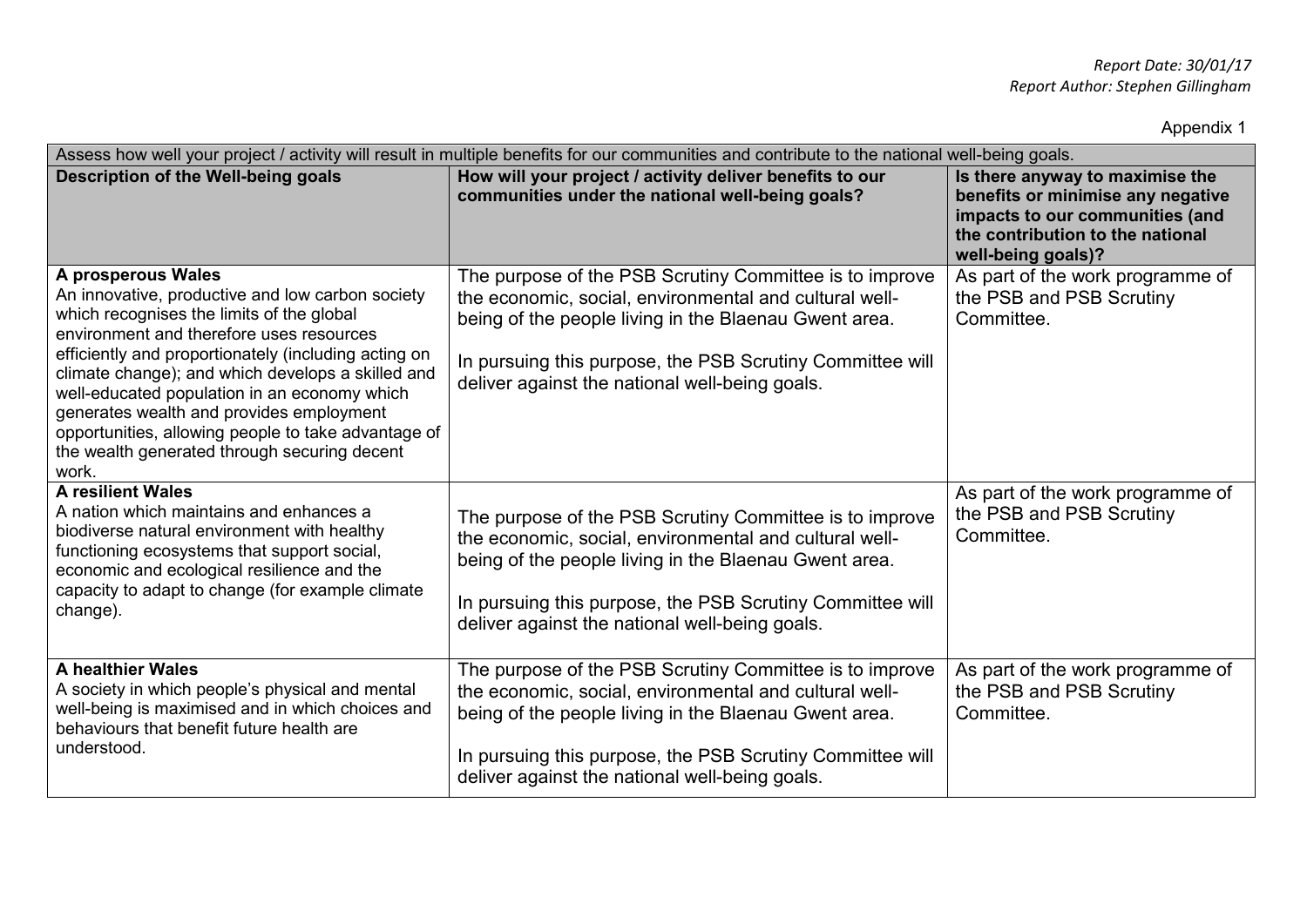Appendix 1

| Assess how well your project / activity will result in multiple benefits for our communities and contribute to the national well-being goals.                                                                                                                                                                                                                                                                                                                                            |                                                                                                                                                                                                                                                                                           |                                                                                                                                                                   |  |  |
|------------------------------------------------------------------------------------------------------------------------------------------------------------------------------------------------------------------------------------------------------------------------------------------------------------------------------------------------------------------------------------------------------------------------------------------------------------------------------------------|-------------------------------------------------------------------------------------------------------------------------------------------------------------------------------------------------------------------------------------------------------------------------------------------|-------------------------------------------------------------------------------------------------------------------------------------------------------------------|--|--|
| Description of the Well-being goals                                                                                                                                                                                                                                                                                                                                                                                                                                                      | How will your project / activity deliver benefits to our<br>communities under the national well-being goals?                                                                                                                                                                              | Is there anyway to maximise the<br>benefits or minimise any negative<br>impacts to our communities (and<br>the contribution to the national<br>well-being goals)? |  |  |
| A prosperous Wales<br>An innovative, productive and low carbon society<br>which recognises the limits of the global<br>environment and therefore uses resources<br>efficiently and proportionately (including acting on<br>climate change); and which develops a skilled and<br>well-educated population in an economy which<br>generates wealth and provides employment<br>opportunities, allowing people to take advantage of<br>the wealth generated through securing decent<br>work. | The purpose of the PSB Scrutiny Committee is to improve<br>the economic, social, environmental and cultural well-<br>being of the people living in the Blaenau Gwent area.<br>In pursuing this purpose, the PSB Scrutiny Committee will<br>deliver against the national well-being goals. | As part of the work programme of<br>the PSB and PSB Scrutiny<br>Committee.                                                                                        |  |  |
| <b>A resilient Wales</b><br>A nation which maintains and enhances a<br>biodiverse natural environment with healthy<br>functioning ecosystems that support social,<br>economic and ecological resilience and the<br>capacity to adapt to change (for example climate<br>change).                                                                                                                                                                                                          | The purpose of the PSB Scrutiny Committee is to improve<br>the economic, social, environmental and cultural well-<br>being of the people living in the Blaenau Gwent area.<br>In pursuing this purpose, the PSB Scrutiny Committee will<br>deliver against the national well-being goals. | As part of the work programme of<br>the PSB and PSB Scrutiny<br>Committee.                                                                                        |  |  |
| <b>A healthier Wales</b><br>A society in which people's physical and mental<br>well-being is maximised and in which choices and<br>behaviours that benefit future health are<br>understood.                                                                                                                                                                                                                                                                                              | The purpose of the PSB Scrutiny Committee is to improve<br>the economic, social, environmental and cultural well-<br>being of the people living in the Blaenau Gwent area.<br>In pursuing this purpose, the PSB Scrutiny Committee will<br>deliver against the national well-being goals. | As part of the work programme of<br>the PSB and PSB Scrutiny<br>Committee.                                                                                        |  |  |